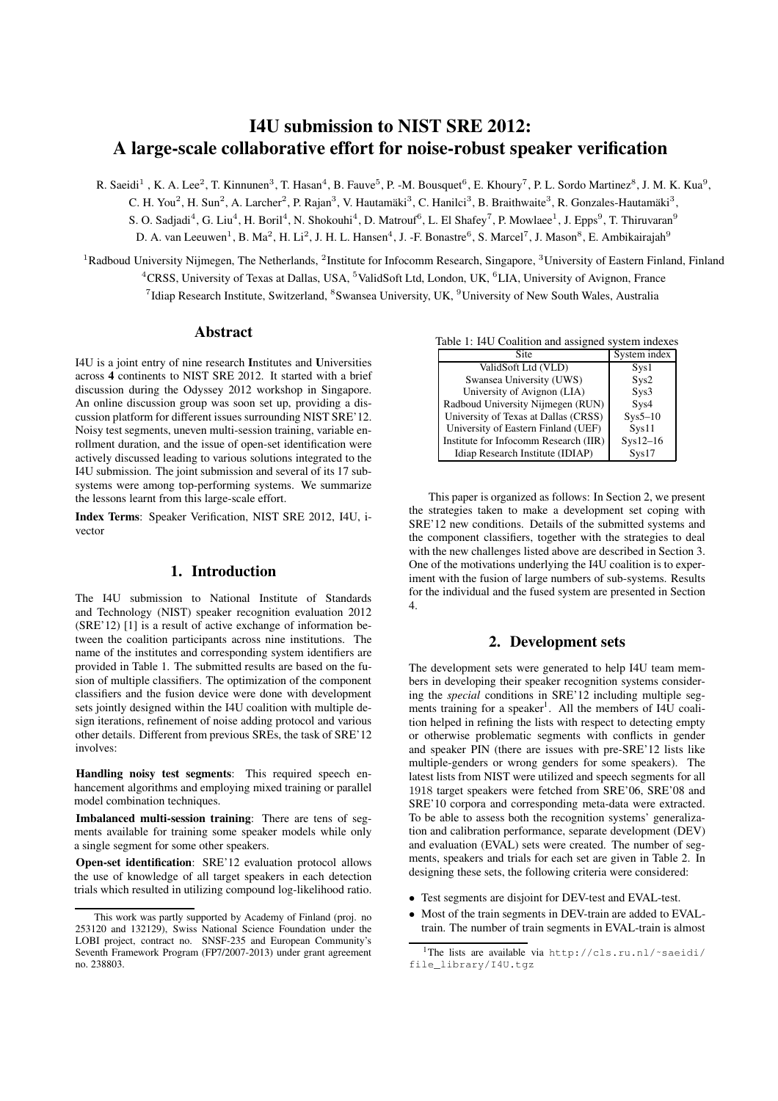# I4U submission to NIST SRE 2012: A large-scale collaborative effort for noise-robust speaker verification

R. Saeidi<sup>1</sup>, K. A. Lee<sup>2</sup>, T. Kinnunen<sup>3</sup>, T. Hasan<sup>4</sup>, B. Fauve<sup>5</sup>, P. -M. Bousquet<sup>6</sup>, E. Khoury<sup>7</sup>, P. L. Sordo Martinez<sup>8</sup>, J. M. K. Kua<sup>9</sup>, C. H. You<sup>2</sup>, H. Sun<sup>2</sup>, A. Larcher<sup>2</sup>, P. Rajan<sup>3</sup>, V. Hautamäki<sup>3</sup>, C. Hanilci<sup>3</sup>, B. Braithwaite<sup>3</sup>, R. Gonzales-Hautamäki<sup>3</sup>, S. O. Sadjadi<sup>4</sup>, G. Liu<sup>4</sup>, H. Boril<sup>4</sup>, N. Shokouhi<sup>4</sup>, D. Matrouf<sup>6</sup>, L. El Shafey<sup>7</sup>, P. Mowlaee<sup>1</sup>, J. Epps<sup>9</sup>, T. Thiruvaran<sup>9</sup> D. A. van Leeuwen<sup>1</sup>, B. Ma<sup>2</sup>, H. Li<sup>2</sup>, J. H. L. Hansen<sup>4</sup>, J. -F. Bonastre<sup>6</sup>, S. Marcel<sup>7</sup>, J. Mason<sup>8</sup>, E. Ambikairajah<sup>9</sup>

 ${}^{1}$ Radboud University Nijmegen, The Netherlands,  ${}^{2}$ Institute for Infocomm Research, Singapore,  ${}^{3}$ University of Eastern Finland, Finland <sup>4</sup>CRSS, University of Texas at Dallas, USA, <sup>5</sup>ValidSoft Ltd, London, UK, <sup>6</sup>LIA, University of Avignon, France <sup>7</sup>Idiap Research Institute, Switzerland, <sup>8</sup>Swansea University, UK, <sup>9</sup>University of New South Wales, Australia

## Abstract

I4U is a joint entry of nine research Institutes and Universities across 4 continents to NIST SRE 2012. It started with a brief discussion during the Odyssey 2012 workshop in Singapore. An online discussion group was soon set up, providing a discussion platform for different issues surrounding NIST SRE'12. Noisy test segments, uneven multi-session training, variable enrollment duration, and the issue of open-set identification were actively discussed leading to various solutions integrated to the I4U submission. The joint submission and several of its 17 subsystems were among top-performing systems. We summarize the lessons learnt from this large-scale effort.

Index Terms: Speaker Verification, NIST SRE 2012, I4U, ivector

## 1. Introduction

The I4U submission to National Institute of Standards and Technology (NIST) speaker recognition evaluation 2012 (SRE'12) [1] is a result of active exchange of information between the coalition participants across nine institutions. The name of the institutes and corresponding system identifiers are provided in Table 1. The submitted results are based on the fusion of multiple classifiers. The optimization of the component classifiers and the fusion device were done with development sets jointly designed within the I4U coalition with multiple design iterations, refinement of noise adding protocol and various other details. Different from previous SREs, the task of SRE'12 involves:

Handling noisy test segments: This required speech enhancement algorithms and employing mixed training or parallel model combination techniques.

Imbalanced multi-session training: There are tens of segments available for training some speaker models while only a single segment for some other speakers.

Open-set identification: SRE'12 evaluation protocol allows the use of knowledge of all target speakers in each detection trials which resulted in utilizing compound log-likelihood ratio.

| <b>Site</b>                           | System index       |
|---------------------------------------|--------------------|
| ValidSoft Ltd (VLD)                   | Sys1               |
| Swansea University (UWS)              | Sys2               |
| University of Avignon (LIA)           | Sys3               |
| Radboud University Nijmegen (RUN)     | Sys4               |
| University of Texas at Dallas (CRSS)  | $Sys5-10$          |
| University of Eastern Finland (UEF)   | Sys11              |
| Institute for Infocomm Research (IIR) | $Sys12-16$         |
| Idiap Research Institute (IDIAP)      | S <sub>vs</sub> 17 |

This paper is organized as follows: In Section 2, we present the strategies taken to make a development set coping with SRE'12 new conditions. Details of the submitted systems and the component classifiers, together with the strategies to deal with the new challenges listed above are described in Section 3. One of the motivations underlying the I4U coalition is to experiment with the fusion of large numbers of sub-systems. Results for the individual and the fused system are presented in Section 4.

# 2. Development sets

The development sets were generated to help I4U team members in developing their speaker recognition systems considering the *special* conditions in SRE'12 including multiple segments training for a speaker<sup>1</sup>. All the members of I4U coalition helped in refining the lists with respect to detecting empty or otherwise problematic segments with conflicts in gender and speaker PIN (there are issues with pre-SRE'12 lists like multiple-genders or wrong genders for some speakers). The latest lists from NIST were utilized and speech segments for all 1918 target speakers were fetched from SRE'06, SRE'08 and SRE'10 corpora and corresponding meta-data were extracted. To be able to assess both the recognition systems' generalization and calibration performance, separate development (DEV) and evaluation (EVAL) sets were created. The number of segments, speakers and trials for each set are given in Table 2. In designing these sets, the following criteria were considered:

- Test segments are disjoint for DEV-test and EVAL-test.
- Most of the train segments in DEV-train are added to EVALtrain. The number of train segments in EVAL-train is almost

This work was partly supported by Academy of Finland (proj. no 253120 and 132129), Swiss National Science Foundation under the LOBI project, contract no. SNSF-235 and European Community's Seventh Framework Program (FP7/2007-2013) under grant agreement no. 238803.

<sup>1</sup>The lists are available via http://cls.ru.nl/~saeidi/ file\_library/I4U.tgz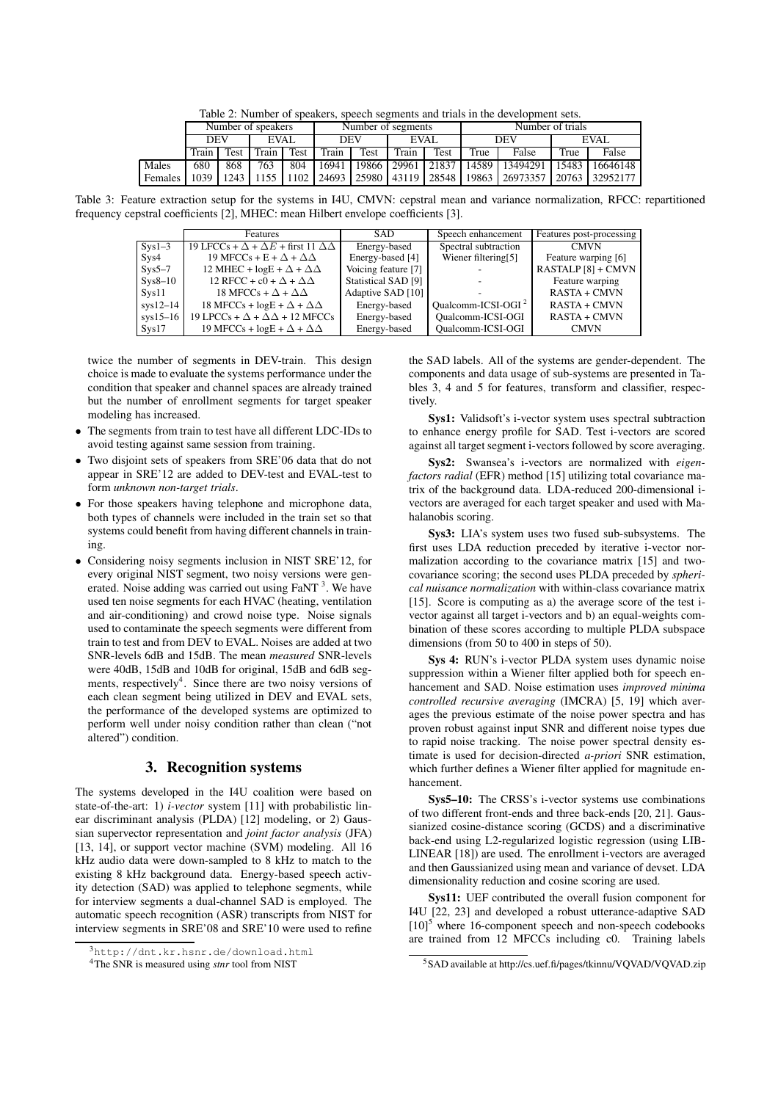Table 2: Number of speakers, speech segments and trials in the development sets.

|         | Number of speakers |             |      | Number of segments |            |      | Number of trials |      |      |                                                                                                 |             |                |
|---------|--------------------|-------------|------|--------------------|------------|------|------------------|------|------|-------------------------------------------------------------------------------------------------|-------------|----------------|
|         | <b>DEV</b>         |             | EVAL |                    | <b>DEV</b> |      | EVAL             |      | DEV  |                                                                                                 | <b>EVAL</b> |                |
|         | Train              | <b>Test</b> |      | Train Test         | Train      | Test | Train            | Test | True | False                                                                                           | True        | False          |
| Males   | 680                | 868         | 763  | 804                | 16941      |      |                  |      |      | 19866   29961   21837   14589   13494291                                                        |             | 15483 16646148 |
| Females |                    |             |      |                    |            |      |                  |      |      | 1039   1243   1155   1102   24693   25980   43119   28548   19863   26973357   20763   32952177 |             |                |

Table 3: Feature extraction setup for the systems in I4U, CMVN: cepstral mean and variance normalization, RFCC: repartitioned frequency cepstral coefficients [2], MHEC: mean Hilbert envelope coefficients [3].

|            | <b>Features</b>                                            | <b>SAD</b>          | Speech enhancement       | Features post-processing |
|------------|------------------------------------------------------------|---------------------|--------------------------|--------------------------|
| $Svs1-3$   | 19 LFCCs + $\Delta$ + $\Delta E$ + first 11 $\Delta\Delta$ | Energy-based        | Spectral subtraction     | <b>CMVN</b>              |
| Sys4       | 19 MFCCs + E + $\Delta$ + $\Delta\Delta$                   | Energy-based [4]    | Wiener filtering[5]      | Feature warping [6]      |
| $Sys5-7$   | 12 MHEC + $logE + \Delta + \Delta\Delta$                   | Voicing feature [7] |                          | RASTALP [8] + CMVN       |
| $Sys8-10$  | 12 RFCC + c0 + $\Delta$ + $\Delta\Delta$                   | Statistical SAD [9] |                          | Feature warping          |
| Svs11      | 18 MFCCs + $\Delta$ + $\Delta\Delta$                       | Adaptive SAD [10]   |                          | <b>RASTA + CMVN</b>      |
| $svs12-14$ | 18 MFCCs + $logE + \Delta + \Delta\Delta$                  | Energy-based        | Oualcomm-ICSI-OGI $2$    | <b>RASTA + CMVN</b>      |
| $sys15-16$ | 19 LPCCs + $\Delta$ + $\Delta\Delta$ + 12 MFCCs            | Energy-based        | <b>Oualcomm-ICSI-OGI</b> | <b>RASTA + CMVN</b>      |
| Sys17      | 19 MFCCs + $logE + \Delta + \Delta\Delta$                  | Energy-based        | <b>Oualcomm-ICSI-OGI</b> | <b>CMVN</b>              |

twice the number of segments in DEV-train. This design choice is made to evaluate the systems performance under the condition that speaker and channel spaces are already trained but the number of enrollment segments for target speaker modeling has increased.

- The segments from train to test have all different LDC-IDs to avoid testing against same session from training.
- Two disjoint sets of speakers from SRE'06 data that do not appear in SRE'12 are added to DEV-test and EVAL-test to form *unknown non-target trials*.
- For those speakers having telephone and microphone data, both types of channels were included in the train set so that systems could benefit from having different channels in training.
- Considering noisy segments inclusion in NIST SRE'12, for every original NIST segment, two noisy versions were generated. Noise adding was carried out using FaNT<sup>3</sup>. We have used ten noise segments for each HVAC (heating, ventilation and air-conditioning) and crowd noise type. Noise signals used to contaminate the speech segments were different from train to test and from DEV to EVAL. Noises are added at two SNR-levels 6dB and 15dB. The mean *measured* SNR-levels were 40dB, 15dB and 10dB for original, 15dB and 6dB segments, respectively<sup>4</sup>. Since there are two noisy versions of each clean segment being utilized in DEV and EVAL sets, the performance of the developed systems are optimized to perform well under noisy condition rather than clean ("not altered") condition.

# 3. Recognition systems

The systems developed in the I4U coalition were based on state-of-the-art: 1) *i-vector* system [11] with probabilistic linear discriminant analysis (PLDA) [12] modeling, or 2) Gaussian supervector representation and *joint factor analysis* (JFA) [13, 14], or support vector machine (SVM) modeling. All 16 kHz audio data were down-sampled to 8 kHz to match to the existing 8 kHz background data. Energy-based speech activity detection (SAD) was applied to telephone segments, while for interview segments a dual-channel SAD is employed. The automatic speech recognition (ASR) transcripts from NIST for interview segments in SRE'08 and SRE'10 were used to refine the SAD labels. All of the systems are gender-dependent. The components and data usage of sub-systems are presented in Tables 3, 4 and 5 for features, transform and classifier, respectively.

Sys1: Validsoft's i-vector system uses spectral subtraction to enhance energy profile for SAD. Test i-vectors are scored against all target segment i-vectors followed by score averaging.

Sys2: Swansea's i-vectors are normalized with *eigenfactors radial* (EFR) method [15] utilizing total covariance matrix of the background data. LDA-reduced 200-dimensional ivectors are averaged for each target speaker and used with Mahalanobis scoring.

Sys3: LIA's system uses two fused sub-subsystems. The first uses LDA reduction preceded by iterative i-vector normalization according to the covariance matrix [15] and twocovariance scoring; the second uses PLDA preceded by *spherical nuisance normalization* with within-class covariance matrix [15]. Score is computing as a) the average score of the test ivector against all target i-vectors and b) an equal-weights combination of these scores according to multiple PLDA subspace dimensions (from 50 to 400 in steps of 50).

Sys 4: RUN's i-vector PLDA system uses dynamic noise suppression within a Wiener filter applied both for speech enhancement and SAD. Noise estimation uses *improved minima controlled recursive averaging* (IMCRA) [5, 19] which averages the previous estimate of the noise power spectra and has proven robust against input SNR and different noise types due to rapid noise tracking. The noise power spectral density estimate is used for decision-directed *a-priori* SNR estimation, which further defines a Wiener filter applied for magnitude enhancement.

Sys5–10: The CRSS's i-vector systems use combinations of two different front-ends and three back-ends [20, 21]. Gaussianized cosine-distance scoring (GCDS) and a discriminative back-end using L2-regularized logistic regression (using LIB-LINEAR [18]) are used. The enrollment i-vectors are averaged and then Gaussianized using mean and variance of devset. LDA dimensionality reduction and cosine scoring are used.

Sys11: UEF contributed the overall fusion component for I4U [22, 23] and developed a robust utterance-adaptive SAD  $[10]$ <sup>5</sup> where 16-component speech and non-speech codebooks are trained from 12 MFCCs including c0. Training labels

<sup>3</sup>http://dnt.kr.hsnr.de/download.html

<sup>4</sup>The SNR is measured using *stnr* tool from NIST

<sup>5</sup>SAD available at http://cs.uef.fi/pages/tkinnu/VQVAD/VQVAD.zip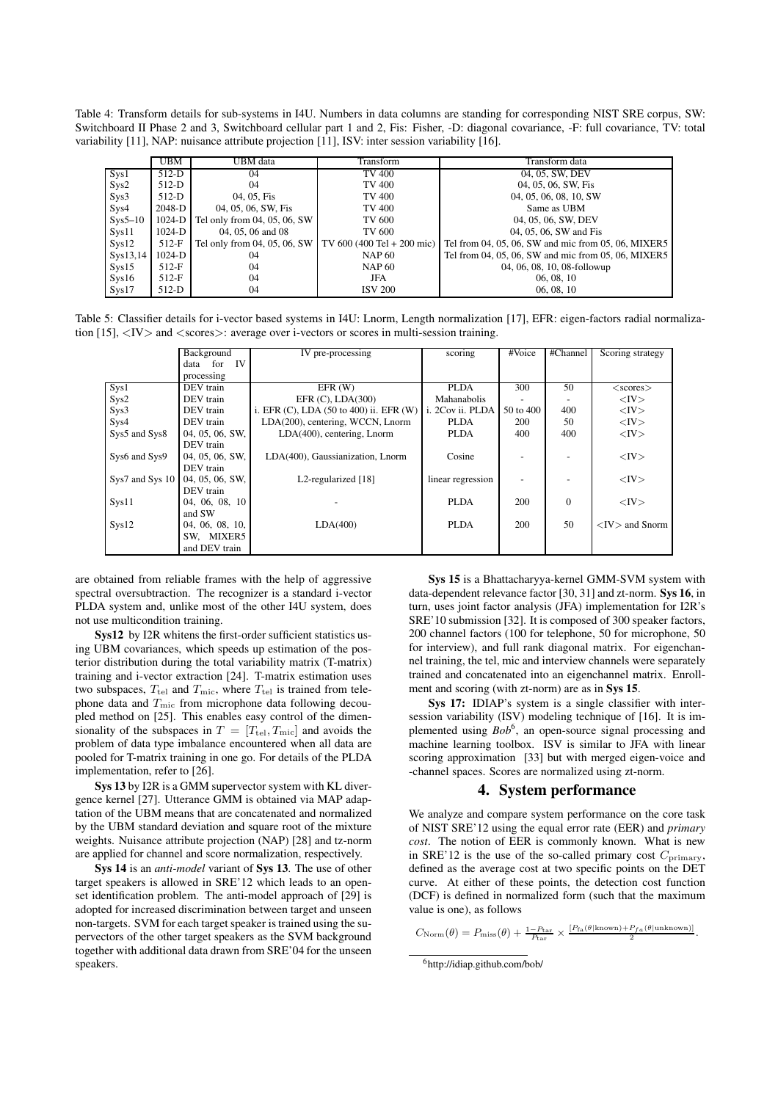Table 4: Transform details for sub-systems in I4U. Numbers in data columns are standing for corresponding NIST SRE corpus, SW: Switchboard II Phase 2 and 3, Switchboard cellular part 1 and 2, Fis: Fisher, -D: diagonal covariance, -F: full covariance, TV: total variability [11], NAP: nuisance attribute projection [11], ISV: inter session variability [16].

|           | <b>UBM</b> | UBM data                                                  | Transform      | Transform data                                      |
|-----------|------------|-----------------------------------------------------------|----------------|-----------------------------------------------------|
| Sys1      | $512-D$    | 04                                                        | <b>TV 400</b>  | 04, 05, SW, DEV                                     |
| Sys2      | 512-D      | 04                                                        | <b>TV 400</b>  | 04, 05, 06, SW, Fis                                 |
| Sys3      | $512-D$    | 04, 05, Fis                                               | <b>TV 400</b>  | 04, 05, 06, 08, 10, SW                              |
| Sys4      | 2048-D     | 04, 05, 06, SW, Fis                                       | TV 400         | Same as UBM                                         |
| $Sys5-10$ | $1024-D$   | Tel only from 04, 05, 06, SW                              | <b>TV 600</b>  | 04, 05, 06, SW, DEV                                 |
| Sys11     | 1024-D     | 04, 05, 06 and 08                                         | TV 600         | 04, 05, 06, SW and Fis                              |
| Sys12     | $512-F$    | Tel only from 04, 05, 06, SW   TV 600 (400 Tel + 200 mic) |                | Tel from 04, 05, 06, SW and mic from 05, 06, MIXER5 |
| Sys13,14  | $1024-D$   | 04                                                        | <b>NAP 60</b>  | Tel from 04, 05, 06, SW and mic from 05, 06, MIXER5 |
| Sys15     | $512-F$    | 04                                                        | <b>NAP 60</b>  | 04, 06, 08, 10, 08-followup                         |
| Sys16     | $512-F$    | 04                                                        | JFA            | 06, 08, 10                                          |
| Sys17     | $512-D$    | 04                                                        | <b>ISV 200</b> | 06, 08, 10                                          |

Table 5: Classifier details for i-vector based systems in I4U: Lnorm, Length normalization [17], EFR: eigen-factors radial normalization  $[15]$ ,  $\langle$ IV $>$  and  $\langle$ scores $>$ : average over i-vectors or scores in multi-session training.

|                 | Background            | IV pre-processing                                       | scoring           | #Voice    | #Channel | Scoring strategy     |  |
|-----------------|-----------------------|---------------------------------------------------------|-------------------|-----------|----------|----------------------|--|
|                 | <b>IV</b><br>data for |                                                         |                   |           |          |                      |  |
|                 | processing            |                                                         |                   |           |          |                      |  |
| Sys1            | DEV train             | $EFR$ (W)                                               | <b>PLDA</b>       | 300       | 50       | $<$ scores $>$       |  |
| Sys2            | DEV train             | EFR $(C)$ , LDA $(300)$                                 | Mahanabolis       |           |          | $<$ IV $>$           |  |
| Sys3            | DEV train             | i. EFR $(C)$ , LDA $(50 \text{ to } 400)$ ii. EFR $(W)$ | i. 2Cov ii. PLDA  | 50 to 400 | 400      | $<$ IV $>$           |  |
| Sys4            | DEV train             | LDA(200), centering, WCCN, Lnorm                        | <b>PLDA</b>       | 200       | 50       | $<$ IV $>$           |  |
| Sys5 and Sys8   | 04, 05, 06, SW,       | LDA(400), centering, Lnorm                              | <b>PLDA</b>       | 400       | 400      | $<$ IV $>$           |  |
|                 | DEV train             |                                                         |                   |           |          |                      |  |
| Sys6 and Sys9   | 04, 05, 06, SW,       | LDA(400), Gaussianization, Lnorm                        | Cosine            |           |          | $<$ IV $>$           |  |
|                 | DEV train             |                                                         |                   |           |          |                      |  |
| Sys7 and Sys 10 | 04, 05, 06, SW,       | L <sub>2</sub> -regularized [18]                        | linear regression |           |          | $<$ IV $>$           |  |
|                 | DEV train             |                                                         |                   |           |          |                      |  |
| Sys11           | 04, 06, 08, 10        |                                                         | <b>PLDA</b>       | 200       | $\Omega$ | $<$ IV $>$           |  |
|                 | and SW                |                                                         |                   |           |          |                      |  |
| Sys12           | 04, 06, 08, 10,       | LDA(400)                                                | <b>PLDA</b>       | 200       | 50       | $<$ IV $>$ and Snorm |  |
|                 | SW, MIXER5            |                                                         |                   |           |          |                      |  |
|                 | and DEV train         |                                                         |                   |           |          |                      |  |

are obtained from reliable frames with the help of aggressive spectral oversubtraction. The recognizer is a standard i-vector PLDA system and, unlike most of the other I4U system, does not use multicondition training.

Sys12 by I2R whitens the first-order sufficient statistics using UBM covariances, which speeds up estimation of the posterior distribution during the total variability matrix (T-matrix) training and i-vector extraction [24]. T-matrix estimation uses two subspaces,  $T_{\text{tel}}$  and  $T_{\text{mic}}$ , where  $T_{\text{tel}}$  is trained from telephone data and  $T_{\text{mic}}$  from microphone data following decoupled method on [25]. This enables easy control of the dimensionality of the subspaces in  $T = [T_{\text{tel}}, T_{\text{mic}}]$  and avoids the problem of data type imbalance encountered when all data are pooled for T-matrix training in one go. For details of the PLDA implementation, refer to [26].

Sys 13 by I2R is a GMM supervector system with KL divergence kernel [27]. Utterance GMM is obtained via MAP adaptation of the UBM means that are concatenated and normalized by the UBM standard deviation and square root of the mixture weights. Nuisance attribute projection (NAP) [28] and tz-norm are applied for channel and score normalization, respectively.

Sys 14 is an *anti-model* variant of Sys 13. The use of other target speakers is allowed in SRE'12 which leads to an openset identification problem. The anti-model approach of [29] is adopted for increased discrimination between target and unseen non-targets. SVM for each target speaker is trained using the supervectors of the other target speakers as the SVM background together with additional data drawn from SRE'04 for the unseen speakers.

Sys 15 is a Bhattacharyya-kernel GMM-SVM system with data-dependent relevance factor [30, 31] and zt-norm. Sys 16, in turn, uses joint factor analysis (JFA) implementation for I2R's SRE'10 submission [32]. It is composed of 300 speaker factors, 200 channel factors (100 for telephone, 50 for microphone, 50 for interview), and full rank diagonal matrix. For eigenchannel training, the tel, mic and interview channels were separately trained and concatenated into an eigenchannel matrix. Enrollment and scoring (with zt-norm) are as in Sys 15.

Sys 17: IDIAP's system is a single classifier with intersession variability (ISV) modeling technique of [16]. It is implemented using  $Bob^6$ , an open-source signal processing and machine learning toolbox. ISV is similar to JFA with linear scoring approximation [33] but with merged eigen-voice and -channel spaces. Scores are normalized using zt-norm.

#### 4. System performance

We analyze and compare system performance on the core task of NIST SRE'12 using the equal error rate (EER) and *primary cost*. The notion of EER is commonly known. What is new in SRE'12 is the use of the so-called primary cost  $C_{\text{primary}}$ , defined as the average cost at two specific points on the DET curve. At either of these points, the detection cost function (DCF) is defined in normalized form (such that the maximum value is one), as follows

 $C_{\text{Norm}}(\theta) = P_{\text{miss}}(\theta) + \frac{1-P_{\text{tar}}}{P_{\text{tar}}} \times \frac{[P_{\text{fa}}(\theta|\text{known}) + P_{f\alpha}(\theta|\text{unknown})]}{2}.$ 

<sup>6</sup>http://idiap.github.com/bob/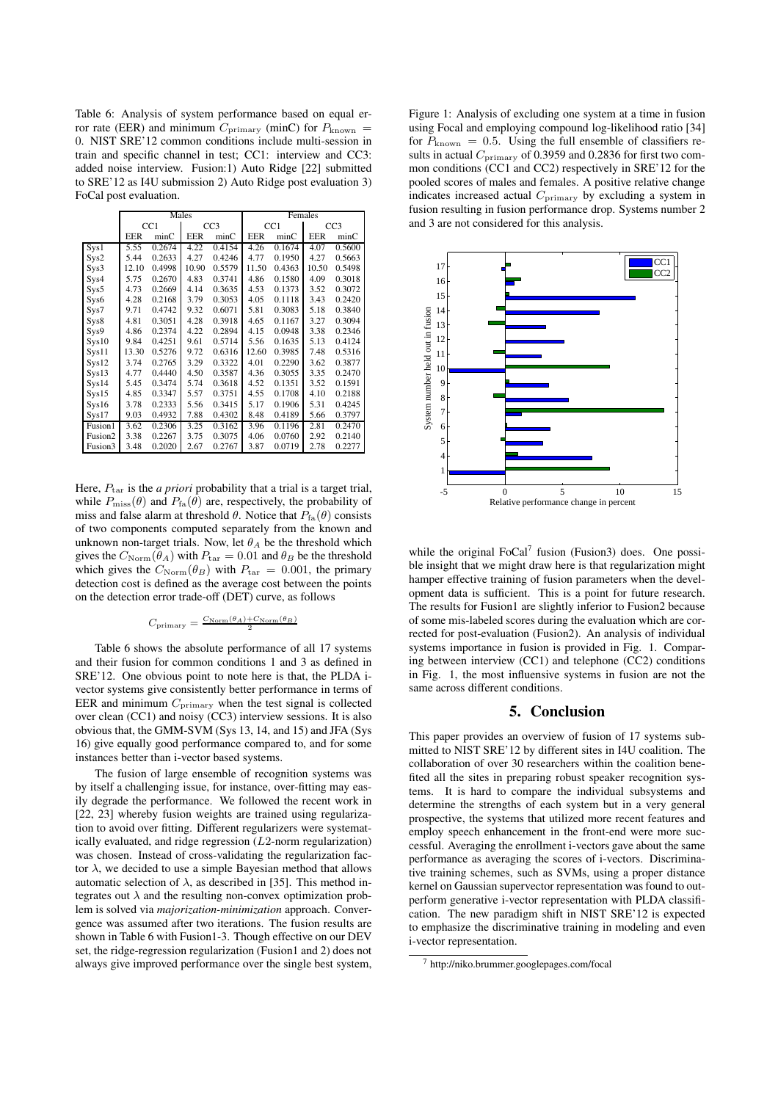Table 6: Analysis of system performance based on equal error rate (EER) and minimum  $C_{\text{primary}}$  (minC) for  $P_{\text{known}}$  = 0. NIST SRE'12 common conditions include multi-session in train and specific channel in test; CC1: interview and CC3: added noise interview. Fusion:1) Auto Ridge [22] submitted to SRE'12 as I4U submission 2) Auto Ridge post evaluation 3) FoCal post evaluation.

|                     |            |        | Males           |        | Females    |        |                 |        |
|---------------------|------------|--------|-----------------|--------|------------|--------|-----------------|--------|
|                     | CC1        |        | CC <sub>3</sub> |        | CC1        |        | CC <sub>3</sub> |        |
|                     | <b>EER</b> | minC   | <b>EER</b>      | minC   | <b>EER</b> | minC   | <b>EER</b>      | minC   |
| Sys1                | 5.55       | 0.2674 | 4.22            | 0.4154 | 4.26       | 0.1674 | 4.07            | 0.5600 |
| Sys2                | 5.44       | 0.2633 | 4.27            | 0.4246 | 4.77       | 0.1950 | 4.27            | 0.5663 |
| Sys3                | 12.10      | 0.4998 | 10.90           | 0.5579 | 11.50      | 0.4363 | 10.50           | 0.5498 |
| Sys4                | 5.75       | 0.2670 | 4.83            | 0.3741 | 4.86       | 0.1580 | 4.09            | 0.3018 |
| Sys5                | 4.73       | 0.2669 | 4.14            | 0.3635 | 4.53       | 0.1373 | 3.52            | 0.3072 |
| Sys6                | 4.28       | 0.2168 | 3.79            | 0.3053 | 4.05       | 0.1118 | 3.43            | 0.2420 |
| S <sub>VS</sub> 7   | 9.71       | 0.4742 | 9.32            | 0.6071 | 5.81       | 0.3083 | 5.18            | 0.3840 |
| Sys8                | 4.81       | 0.3051 | 4.28            | 0.3918 | 4.65       | 0.1167 | 3.27            | 0.3094 |
| Sys9                | 4.86       | 0.2374 | 4.22            | 0.2894 | 4.15       | 0.0948 | 3.38            | 0.2346 |
| Sys10               | 9.84       | 0.4251 | 9.61            | 0.5714 | 5.56       | 0.1635 | 5.13            | 0.4124 |
| Svs11               | 13.30      | 0.5276 | 9.72            | 0.6316 | 12.60      | 0.3985 | 7.48            | 0.5316 |
| Svs12               | 3.74       | 0.2765 | 3.29            | 0.3322 | 4.01       | 0.2290 | 3.62            | 0.3877 |
| S <sub>VS</sub> 13  | 4.77       | 0.4440 | 4.50            | 0.3587 | 4.36       | 0.3055 | 3.35            | 0.2470 |
| Sys14               | 5.45       | 0.3474 | 5.74            | 0.3618 | 4.52       | 0.1351 | 3.52            | 0.1591 |
| S <sub>VS</sub> 15  | 4.85       | 0.3347 | 5.57            | 0.3751 | 4.55       | 0.1708 | 4.10            | 0.2188 |
| Sys16               | 3.78       | 0.2333 | 5.56            | 0.3415 | 5.17       | 0.1906 | 5.31            | 0.4245 |
| S <sub>VS</sub> 17  | 9.03       | 0.4932 | 7.88            | 0.4302 | 8.48       | 0.4189 | 5.66            | 0.3797 |
| Fusion1             | 3.62       | 0.2306 | 3.25            | 0.3162 | 3.96       | 0.1196 | 2.81            | 0.2470 |
| Fusion <sub>2</sub> | 3.38       | 0.2267 | 3.75            | 0.3075 | 4.06       | 0.0760 | 2.92            | 0.2140 |
| Fusion3             | 3.48       | 0.2020 | 2.67            | 0.2767 | 3.87       | 0.0719 | 2.78            | 0.2277 |

Here,  $P_{\text{tar}}$  is the *a priori* probability that a trial is a target trial, while  $P_{\text{miss}}(\theta)$  and  $P_{\text{fa}}(\theta)$  are, respectively, the probability of miss and false alarm at threshold  $\theta$ . Notice that  $P_{fa}(\theta)$  consists of two components computed separately from the known and unknown non-target trials. Now, let  $\theta_A$  be the threshold which gives the  $C_{\text{Norm}}(\theta_A)$  with  $P_{\text{tar}} = 0.01$  and  $\theta_B$  be the threshold which gives the  $C_{\text{Norm}}(\theta_B)$  with  $P_{\text{tar}} = 0.001$ , the primary detection cost is defined as the average cost between the points on the detection error trade-off (DET) curve, as follows

$$
C_{\text{primary}} = \tfrac{C_{\text{Norm}}(\theta_A) + C_{\text{Norm}}(\theta_B)}{2}
$$

Table 6 shows the absolute performance of all 17 systems and their fusion for common conditions 1 and 3 as defined in SRE'12. One obvious point to note here is that, the PLDA ivector systems give consistently better performance in terms of EER and minimum  $C_{\text{primary}}$  when the test signal is collected over clean (CC1) and noisy (CC3) interview sessions. It is also obvious that, the GMM-SVM (Sys 13, 14, and 15) and JFA (Sys 16) give equally good performance compared to, and for some instances better than i-vector based systems.

The fusion of large ensemble of recognition systems was by itself a challenging issue, for instance, over-fitting may easily degrade the performance. We followed the recent work in [22, 23] whereby fusion weights are trained using regularization to avoid over fitting. Different regularizers were systematically evaluated, and ridge regression  $(L2$ -norm regularization) was chosen. Instead of cross-validating the regularization factor  $\lambda$ , we decided to use a simple Bayesian method that allows automatic selection of  $\lambda$ , as described in [35]. This method integrates out  $\lambda$  and the resulting non-convex optimization problem is solved via *majorization-minimization* approach. Convergence was assumed after two iterations. The fusion results are shown in Table 6 with Fusion1-3. Though effective on our DEV set, the ridge-regression regularization (Fusion1 and 2) does not always give improved performance over the single best system,

Figure 1: Analysis of excluding one system at a time in fusion using Focal and employing compound log-likelihood ratio [34] for  $P_{\text{known}} = 0.5$ . Using the full ensemble of classifiers results in actual  $C_{\text{primary}}$  of 0.3959 and 0.2836 for first two common conditions (CC1 and CC2) respectively in SRE'12 for the pooled scores of males and females. A positive relative change indicates increased actual  $C_{\text{primary}}$  by excluding a system in fusion resulting in fusion performance drop. Systems number 2 and 3 are not considered for this analysis.



while the original  $FoCal<sup>7</sup>$  fusion (Fusion3) does. One possible insight that we might draw here is that regularization might hamper effective training of fusion parameters when the development data is sufficient. This is a point for future research. The results for Fusion1 are slightly inferior to Fusion2 because of some mis-labeled scores during the evaluation which are corrected for post-evaluation (Fusion2). An analysis of individual systems importance in fusion is provided in Fig. 1. Comparing between interview (CC1) and telephone (CC2) conditions in Fig. 1, the most influensive systems in fusion are not the same across different conditions.

### 5. Conclusion

This paper provides an overview of fusion of 17 systems submitted to NIST SRE'12 by different sites in I4U coalition. The collaboration of over 30 researchers within the coalition benefited all the sites in preparing robust speaker recognition systems. It is hard to compare the individual subsystems and determine the strengths of each system but in a very general prospective, the systems that utilized more recent features and employ speech enhancement in the front-end were more successful. Averaging the enrollment i-vectors gave about the same performance as averaging the scores of i-vectors. Discriminative training schemes, such as SVMs, using a proper distance kernel on Gaussian supervector representation was found to outperform generative i-vector representation with PLDA classification. The new paradigm shift in NIST SRE'12 is expected to emphasize the discriminative training in modeling and even i-vector representation.

<sup>7</sup> http://niko.brummer.googlepages.com/focal